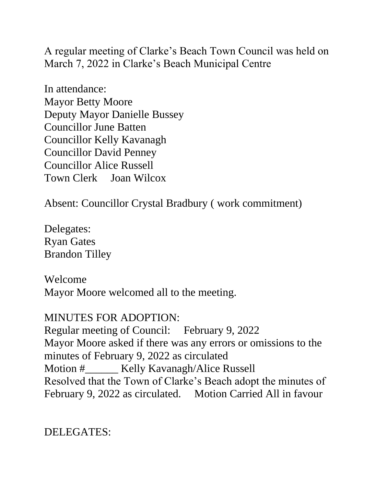A regular meeting of Clarke's Beach Town Council was held on March 7, 2022 in Clarke's Beach Municipal Centre

In attendance: Mayor Betty Moore Deputy Mayor Danielle Bussey Councillor June Batten Councillor Kelly Kavanagh Councillor David Penney Councillor Alice Russell Town Clerk Joan Wilcox

Absent: Councillor Crystal Bradbury ( work commitment)

Delegates: Ryan Gates Brandon Tilley

Welcome Mayor Moore welcomed all to the meeting.

MINUTES FOR ADOPTION: Regular meeting of Council: February 9, 2022 Mayor Moore asked if there was any errors or omissions to the minutes of February 9, 2022 as circulated Motion #\_\_\_\_\_\_ Kelly Kavanagh/Alice Russell Resolved that the Town of Clarke's Beach adopt the minutes of February 9, 2022 as circulated. Motion Carried All in favour

DELEGATES: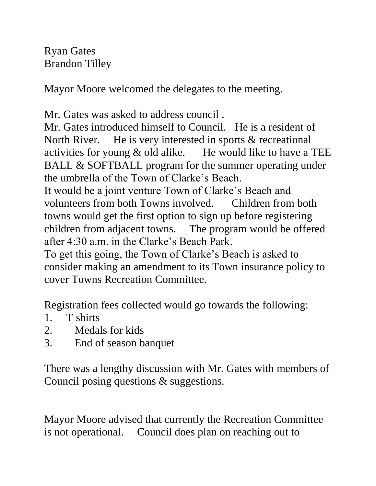Ryan Gates Brandon Tilley

Mayor Moore welcomed the delegates to the meeting.

Mr. Gates was asked to address council .

Mr. Gates introduced himself to Council. He is a resident of North River. He is very interested in sports & recreational activities for young  $\&$  old alike. He would like to have a TEE BALL & SOFTBALL program for the summer operating under the umbrella of the Town of Clarke's Beach.

It would be a joint venture Town of Clarke's Beach and volunteers from both Towns involved. Children from both towns would get the first option to sign up before registering children from adjacent towns. The program would be offered after 4:30 a.m. in the Clarke's Beach Park.

To get this going, the Town of Clarke's Beach is asked to consider making an amendment to its Town insurance policy to cover Towns Recreation Committee.

Registration fees collected would go towards the following:

- 1. T shirts
- 2. Medals for kids
- 3. End of season banquet

There was a lengthy discussion with Mr. Gates with members of Council posing questions & suggestions.

Mayor Moore advised that currently the Recreation Committee is not operational. Council does plan on reaching out to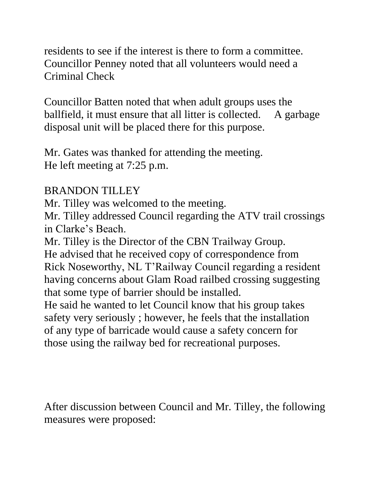residents to see if the interest is there to form a committee. Councillor Penney noted that all volunteers would need a Criminal Check

Councillor Batten noted that when adult groups uses the ballfield, it must ensure that all litter is collected. A garbage disposal unit will be placed there for this purpose.

Mr. Gates was thanked for attending the meeting. He left meeting at 7:25 p.m.

#### BRANDON TILLEY

Mr. Tilley was welcomed to the meeting.

Mr. Tilley addressed Council regarding the ATV trail crossings in Clarke's Beach.

Mr. Tilley is the Director of the CBN Trailway Group. He advised that he received copy of correspondence from Rick Noseworthy, NL T'Railway Council regarding a resident having concerns about Glam Road railbed crossing suggesting that some type of barrier should be installed.

He said he wanted to let Council know that his group takes safety very seriously ; however, he feels that the installation of any type of barricade would cause a safety concern for those using the railway bed for recreational purposes.

After discussion between Council and Mr. Tilley, the following measures were proposed: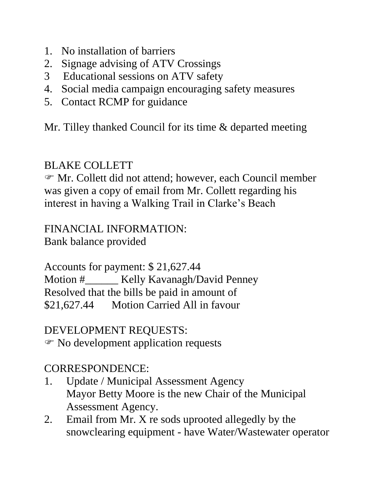- 1. No installation of barriers
- 2. Signage advising of ATV Crossings
- 3 Educational sessions on ATV safety
- 4. Social media campaign encouraging safety measures
- 5. Contact RCMP for guidance

Mr. Tilley thanked Council for its time & departed meeting

## BLAKE COLLETT

 Mr. Collett did not attend; however, each Council member was given a copy of email from Mr. Collett regarding his interest in having a Walking Trail in Clarke's Beach

FINANCIAL INFORMATION: Bank balance provided

Accounts for payment: \$ 21,627.44 Motion #\_\_\_\_\_\_ Kelly Kavanagh/David Penney Resolved that the bills be paid in amount of \$21,627.44 Motion Carried All in favour

DEVELOPMENT REQUESTS: No development application requests

# CORRESPONDENCE:

- 1. Update / Municipal Assessment Agency Mayor Betty Moore is the new Chair of the Municipal Assessment Agency.
- 2. Email from Mr. X re sods uprooted allegedly by the snowclearing equipment - have Water/Wastewater operator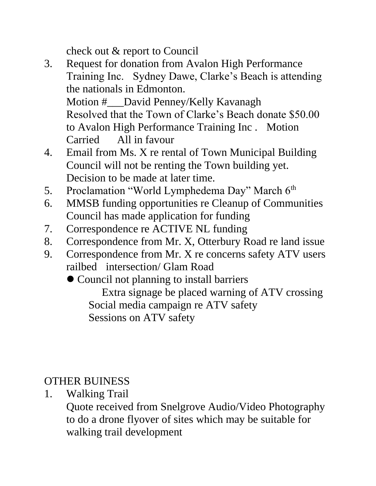check out & report to Council

- 3. Request for donation from Avalon High Performance Training Inc. Sydney Dawe, Clarke's Beach is attending the nationals in Edmonton. Motion #\_\_\_David Penney/Kelly Kavanagh Resolved that the Town of Clarke's Beach donate \$50.00 to Avalon High Performance Training Inc . Motion Carried All in favour
- 4. Email from Ms. X re rental of Town Municipal Building Council will not be renting the Town building yet. Decision to be made at later time.
- 5. Proclamation "World Lymphedema Day" March 6<sup>th</sup>
- 6. MMSB funding opportunities re Cleanup of Communities Council has made application for funding
- 7. Correspondence re ACTIVE NL funding
- 8. Correspondence from Mr. X, Otterbury Road re land issue
- 9. Correspondence from Mr. X re concerns safety ATV users railbed intersection/ Glam Road

⚫ Council not planning to install barriers Extra signage be placed warning of ATV crossing Social media campaign re ATV safety Sessions on ATV safety

OTHER BUINESS

1. Walking Trail

Quote received from Snelgrove Audio/Video Photography to do a drone flyover of sites which may be suitable for walking trail development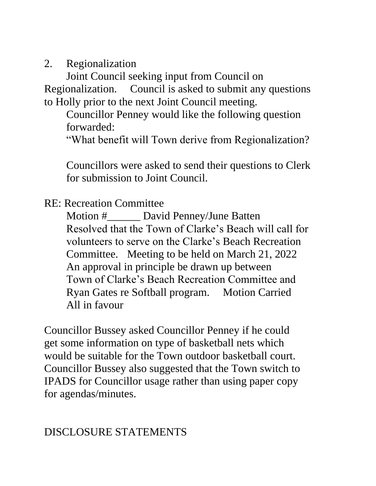2. Regionalization

Joint Council seeking input from Council on Regionalization. Council is asked to submit any questions to Holly prior to the next Joint Council meeting.

Councillor Penney would like the following question forwarded:

"What benefit will Town derive from Regionalization?

Councillors were asked to send their questions to Clerk for submission to Joint Council.

#### RE: Recreation Committee

Motion #\_\_\_\_\_\_ David Penney/June Batten Resolved that the Town of Clarke's Beach will call for volunteers to serve on the Clarke's Beach Recreation Committee. Meeting to be held on March 21, 2022 An approval in principle be drawn up between Town of Clarke's Beach Recreation Committee and Ryan Gates re Softball program. Motion Carried All in favour

Councillor Bussey asked Councillor Penney if he could get some information on type of basketball nets which would be suitable for the Town outdoor basketball court. Councillor Bussey also suggested that the Town switch to IPADS for Councillor usage rather than using paper copy for agendas/minutes.

### DISCLOSURE STATEMENTS